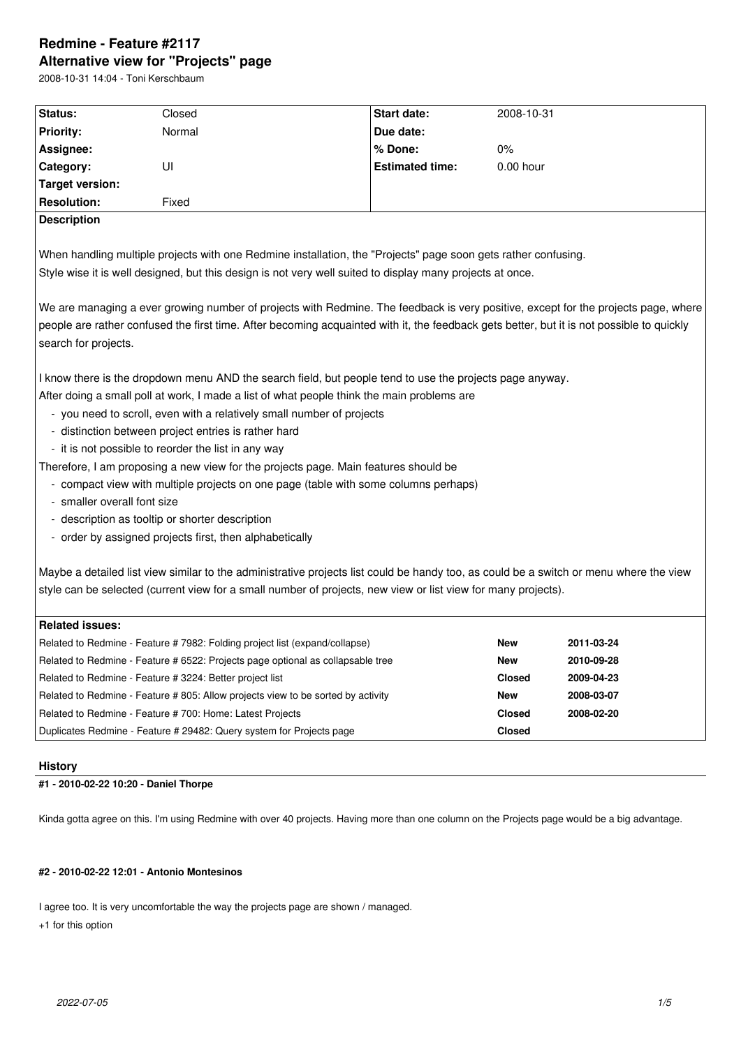# **Redmine - Feature #2117 Alternative view for "Projects" page**

2008-10-31 14:04 - Toni Kerschbaum

| Status:                     | Closed                                                                                                                                                                                                                                                                          | Start date:            | 2008-10-31    |            |  |  |
|-----------------------------|---------------------------------------------------------------------------------------------------------------------------------------------------------------------------------------------------------------------------------------------------------------------------------|------------------------|---------------|------------|--|--|
| <b>Priority:</b>            | Normal                                                                                                                                                                                                                                                                          | Due date:              |               |            |  |  |
| Assignee:                   |                                                                                                                                                                                                                                                                                 | % Done:                | 0%            |            |  |  |
| Category:                   | UI                                                                                                                                                                                                                                                                              | <b>Estimated time:</b> | 0.00 hour     |            |  |  |
| <b>Target version:</b>      |                                                                                                                                                                                                                                                                                 |                        |               |            |  |  |
| <b>Resolution:</b>          | Fixed                                                                                                                                                                                                                                                                           |                        |               |            |  |  |
| <b>Description</b>          |                                                                                                                                                                                                                                                                                 |                        |               |            |  |  |
|                             |                                                                                                                                                                                                                                                                                 |                        |               |            |  |  |
|                             | When handling multiple projects with one Redmine installation, the "Projects" page soon gets rather confusing.                                                                                                                                                                  |                        |               |            |  |  |
|                             | Style wise it is well designed, but this design is not very well suited to display many projects at once.                                                                                                                                                                       |                        |               |            |  |  |
| search for projects.        | We are managing a ever growing number of projects with Redmine. The feedback is very positive, except for the projects page, where<br>people are rather confused the first time. After becoming acquainted with it, the feedback gets better, but it is not possible to quickly |                        |               |            |  |  |
|                             |                                                                                                                                                                                                                                                                                 |                        |               |            |  |  |
|                             | I know there is the dropdown menu AND the search field, but people tend to use the projects page anyway.                                                                                                                                                                        |                        |               |            |  |  |
|                             | After doing a small poll at work, I made a list of what people think the main problems are                                                                                                                                                                                      |                        |               |            |  |  |
|                             | - you need to scroll, even with a relatively small number of projects<br>- distinction between project entries is rather hard                                                                                                                                                   |                        |               |            |  |  |
|                             | - it is not possible to reorder the list in any way                                                                                                                                                                                                                             |                        |               |            |  |  |
|                             | Therefore, I am proposing a new view for the projects page. Main features should be                                                                                                                                                                                             |                        |               |            |  |  |
|                             | - compact view with multiple projects on one page (table with some columns perhaps)                                                                                                                                                                                             |                        |               |            |  |  |
| - smaller overall font size |                                                                                                                                                                                                                                                                                 |                        |               |            |  |  |
|                             | - description as tooltip or shorter description                                                                                                                                                                                                                                 |                        |               |            |  |  |
|                             | - order by assigned projects first, then alphabetically                                                                                                                                                                                                                         |                        |               |            |  |  |
|                             |                                                                                                                                                                                                                                                                                 |                        |               |            |  |  |
|                             | Maybe a detailed list view similar to the administrative projects list could be handy too, as could be a switch or menu where the view                                                                                                                                          |                        |               |            |  |  |
|                             | style can be selected (current view for a small number of projects, new view or list view for many projects).                                                                                                                                                                   |                        |               |            |  |  |
|                             |                                                                                                                                                                                                                                                                                 |                        |               |            |  |  |
| <b>Related issues:</b>      |                                                                                                                                                                                                                                                                                 |                        |               |            |  |  |
|                             | Related to Redmine - Feature # 7982: Folding project list (expand/collapse)                                                                                                                                                                                                     |                        | <b>New</b>    | 2011-03-24 |  |  |
|                             | Related to Redmine - Feature # 6522: Projects page optional as collapsable tree                                                                                                                                                                                                 |                        | New           | 2010-09-28 |  |  |
|                             | Related to Redmine - Feature # 3224: Better project list                                                                                                                                                                                                                        |                        | <b>Closed</b> | 2009-04-23 |  |  |
|                             | Related to Redmine - Feature #805: Allow projects view to be sorted by activity                                                                                                                                                                                                 |                        | <b>New</b>    | 2008-03-07 |  |  |
|                             | Related to Redmine - Feature #700: Home: Latest Projects                                                                                                                                                                                                                        |                        | <b>Closed</b> | 2008-02-20 |  |  |
|                             | Duplicates Redmine - Feature # 29482: Query system for Projects page                                                                                                                                                                                                            |                        | <b>Closed</b> |            |  |  |
|                             |                                                                                                                                                                                                                                                                                 |                        |               |            |  |  |
| <b>History</b>              |                                                                                                                                                                                                                                                                                 |                        |               |            |  |  |

# **#1 - 2010-02-22 10:20 - Daniel Thorpe**

Kinda gotta agree on this. I'm using Redmine with over 40 projects. Having more than one column on the Projects page would be a big advantage.

# **#2 - 2010-02-22 12:01 - Antonio Montesinos**

I agree too. It is very uncomfortable the way the projects page are shown / managed.

+1 for this option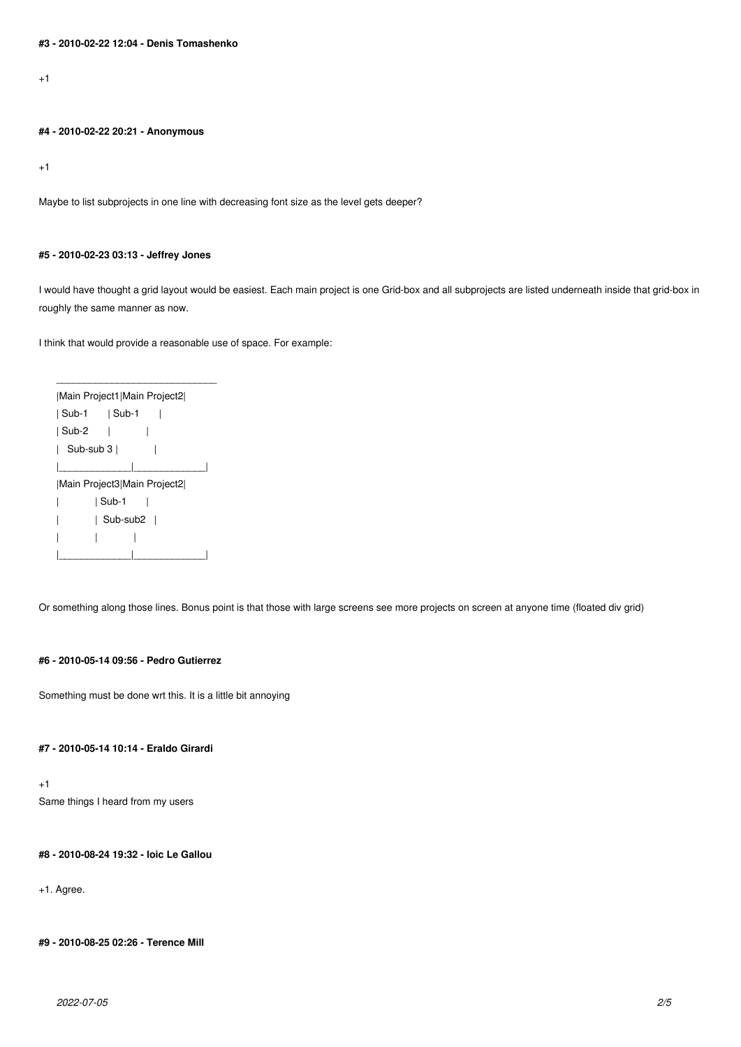$+1$ 

#### **#4 - 2010-02-22 20:21 - Anonymous**

+1

Maybe to list subprojects in one line with decreasing font size as the level gets deeper?

### **#5 - 2010-02-23 03:13 - Jeffrey Jones**

I would have thought a grid layout would be easiest. Each main project is one Grid-box and all subprojects are listed underneath inside that grid-box in roughly the same manner as now.

I think that would provide a reasonable use of space. For example:

| Main Project1 Main Project2 |  |  |  |  |
|-----------------------------|--|--|--|--|
|                             |  |  |  |  |
| ∣ Sub-2                     |  |  |  |  |
| ∣ Sub-sub 3 I               |  |  |  |  |
|                             |  |  |  |  |
| Main Project3 Main Project2 |  |  |  |  |
| l Sub-1                     |  |  |  |  |
| Sub-sub2                    |  |  |  |  |
|                             |  |  |  |  |
|                             |  |  |  |  |

\_\_\_\_\_\_\_\_\_\_\_\_\_\_\_\_\_\_\_\_\_\_\_\_\_\_\_\_\_

Or something along those lines. Bonus point is that those with large screens see more projects on screen at anyone time (floated div grid)

## **#6 - 2010-05-14 09:56 - Pedro Gutierrez**

Something must be done wrt this. It is a little bit annoying

### **#7 - 2010-05-14 10:14 - Eraldo Girardi**

+1 Same things I heard from my users

**#8 - 2010-08-24 19:32 - loic Le Gallou**

+1. Agree.

**#9 - 2010-08-25 02:26 - Terence Mill**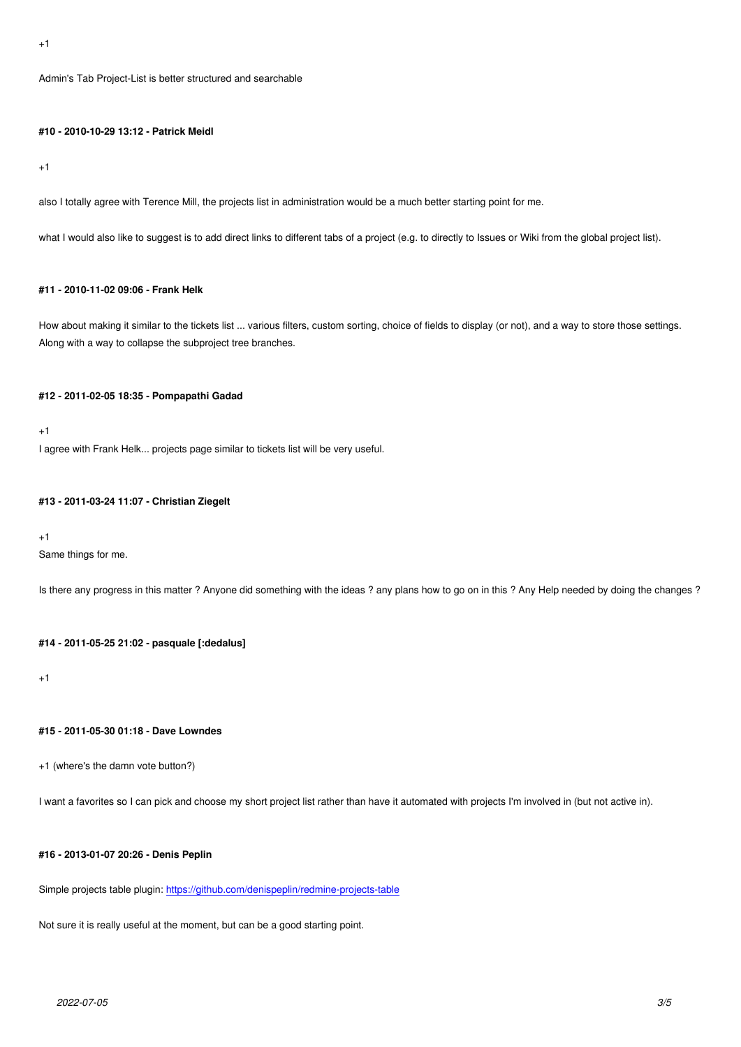### **#10 - 2010-10-29 13:12 - Patrick Meidl**

#### +1

also I totally agree with Terence Mill, the projects list in administration would be a much better starting point for me.

what I would also like to suggest is to add direct links to different tabs of a project (e.g. to directly to Issues or Wiki from the global project list).

### **#11 - 2010-11-02 09:06 - Frank Helk**

How about making it similar to the tickets list ... various filters, custom sorting, choice of fields to display (or not), and a way to store those settings. Along with a way to collapse the subproject tree branches.

#### **#12 - 2011-02-05 18:35 - Pompapathi Gadad**

+1

I agree with Frank Helk... projects page similar to tickets list will be very useful.

#### **#13 - 2011-03-24 11:07 - Christian Ziegelt**

#### +1

Same things for me.

Is there any progress in this matter ? Anyone did something with the ideas ? any plans how to go on in this ? Any Help needed by doing the changes ?

### **#14 - 2011-05-25 21:02 - pasquale [:dedalus]**

+1

### **#15 - 2011-05-30 01:18 - Dave Lowndes**

+1 (where's the damn vote button?)

I want a favorites so I can pick and choose my short project list rather than have it automated with projects I'm involved in (but not active in).

# **#16 - 2013-01-07 20:26 - Denis Peplin**

Simple projects table plugin: https://github.com/denispeplin/redmine-projects-table

Not sure it is really useful at the moment, but can be a good starting point.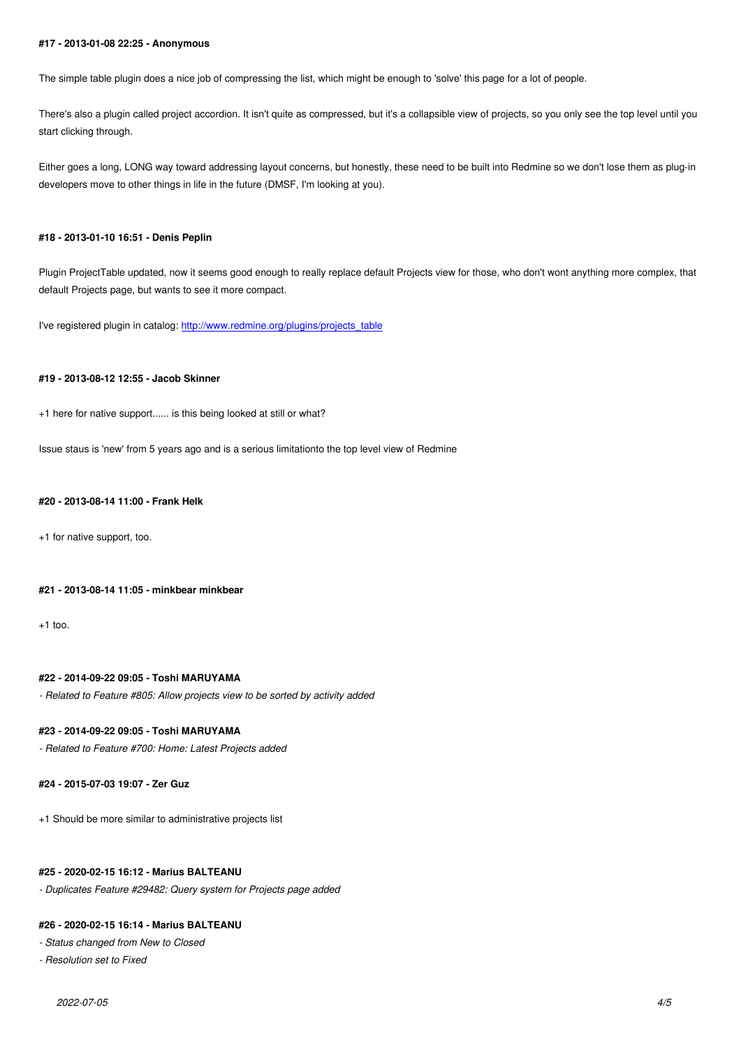The simple table plugin does a nice job of compressing the list, which might be enough to 'solve' this page for a lot of people.

There's also a plugin called project accordion. It isn't quite as compressed, but it's a collapsible view of projects, so you only see the top level until you start clicking through.

Either goes a long, LONG way toward addressing layout concerns, but honestly, these need to be built into Redmine so we don't lose them as plug-in developers move to other things in life in the future (DMSF, I'm looking at you).

#### **#18 - 2013-01-10 16:51 - Denis Peplin**

Plugin ProjectTable updated, now it seems good enough to really replace default Projects view for those, who don't wont anything more complex, that default Projects page, but wants to see it more compact.

I've registered plugin in catalog: http://www.redmine.org/plugins/projects\_table

### **#19 - 2013-08-12 12:55 - Jacob [Skinner](http://www.redmine.org/plugins/projects_table)**

+1 here for native support...... is this being looked at still or what?

Issue staus is 'new' from 5 years ago and is a serious limitationto the top level view of Redmine

#### **#20 - 2013-08-14 11:00 - Frank Helk**

+1 for native support, too.

#### **#21 - 2013-08-14 11:05 - minkbear minkbear**

+1 too.

### **#22 - 2014-09-22 09:05 - Toshi MARUYAMA**

*- Related to Feature #805: Allow projects view to be sorted by activity added*

### **#23 - 2014-09-22 09:05 - Toshi MARUYAMA**

*- Related to Feature #700: Home: Latest Projects added*

### **#24 - 2015-07-03 19:07 - Zer Guz**

+1 Should be more similar to administrative projects list

#### **#25 - 2020-02-15 16:12 - Marius BALTEANU**

*- Duplicates Feature #29482: Query system for Projects page added*

# **#26 - 2020-02-15 16:14 - Marius BALTEANU**

*- Status changed from New to Closed*

*- Resolution set to Fixed*